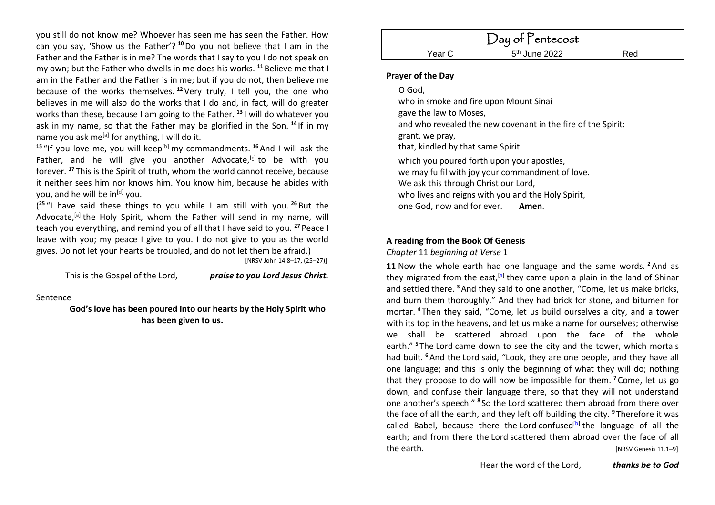you still do not know me? Whoever has seen me has seen the Father. How can you say, 'Show us the Father'? **<sup>10</sup>**Do you not believe that I am in the Father and the Father is in me? The words that I say to you I do not speak on my own; but the Father who dwells in me does his works. **<sup>11</sup>** Believe me that I am in the Father and the Father is in me; but if you do not, then believe me because of the works themselves. **<sup>12</sup>**Very truly, I tell you, the one who believes in me will also do the works that I do and, in fact, will do greater works than these, because I am going to the Father. **<sup>13</sup>** I will do whatever you ask in my name, so that the Father may be glorified in the Son. **<sup>14</sup>** If in my name you ask me<sup>[\[a\]](https://www.biblegateway.com/passage/?search=+John+14.8%E2%80%9317%2C+25%E2%80%9327&version=NRSV#fen-NRSV-26672a)</sup> for anything, I will do it.

<sup>15</sup> "If you love me, you will keep<sup>[\[b\]](https://www.biblegateway.com/passage/?search=+John+14.8%E2%80%9317%2C+25%E2%80%9327&version=NRSV#fen-NRSV-26673b)</sup> my commandments. <sup>16</sup> And I will ask the Father, and he will give you another Advocate,<sup>[\[c\]](https://www.biblegateway.com/passage/?search=+John+14.8%E2%80%9317%2C+25%E2%80%9327&version=NRSV#fen-NRSV-26674c)</sup> to be with you forever. **<sup>17</sup>** This is the Spirit of truth, whom the world cannot receive, because it neither sees him nor knows him. You know him, because he abides with you, and he will be in<sup>[<u>d</u>]</sup> you.

( **<sup>25</sup>** "I have said these things to you while I am still with you. **<sup>26</sup>** But the Advocate,<sup>[\[a\]](https://www.biblegateway.com/passage/?search=+John+14.8%E2%80%9317%2C+25%E2%80%9327&version=NRSV#fen-NRSV-26684a)</sup> the Holy Spirit, whom the Father will send in my name, will teach you everything, and remind you of all that I have said to you. **<sup>27</sup>** Peace I leave with you; my peace I give to you. I do not give to you as the world gives. Do not let your hearts be troubled, and do not let them be afraid.) [NRSV John 14.8–17, (25–27)]

This is the Gospel of the Lord, *praise to you Lord Jesus Christ.*

Sentence

**God's love has been poured into our hearts by the Holy Spirit who has been given to us.**

# **Prayer of the Day**

### O God,

who in smoke and fire upon Mount Sinai gave the law to Moses, and who revealed the new covenant in the fire of the Spirit: grant, we pray, that, kindled by that same Spirit which you poured forth upon your apostles, we may fulfil with joy your commandment of love. We ask this through Christ our Lord. who lives and reigns with you and the Holy Spirit.

one God, now and for ever. **Amen**.

# **A reading from the Book Of Genesis**

*Chapter* 11 *beginning at Verse* 1

**11** Now the whole earth had one language and the same words. **<sup>2</sup>**And as they migrated from the east,<sup>[\[a\]](https://www.biblegateway.com/passage/?search=Genesis+11.1%E2%80%939&version=NRSV#fen-NRSV-269a)</sup> they came upon a plain in the land of Shinar and settled there. **<sup>3</sup>**And they said to one another, "Come, let us make bricks, and burn them thoroughly." And they had brick for stone, and bitumen for mortar. **<sup>4</sup>** Then they said, "Come, let us build ourselves a city, and a tower with its top in the heavens, and let us make a name for ourselves; otherwise we shall be scattered abroad upon the face of the whole earth." **<sup>5</sup>** The Lord came down to see the city and the tower, which mortals had built. **<sup>6</sup>**And the Lord said, "Look, they are one people, and they have all one language; and this is only the beginning of what they will do; nothing that they propose to do will now be impossible for them. **<sup>7</sup>** Come, let us go down, and confuse their language there, so that they will not understand one another's speech." **<sup>8</sup>** So the Lord scattered them abroad from there over the face of all the earth, and they left off building the city. **<sup>9</sup>** Therefore it was called Babel, because there the Lord confused<sup>[\[b\]](https://www.biblegateway.com/passage/?search=Genesis+11.1%E2%80%939&version=NRSV#fen-NRSV-276b)</sup> the language of all the earth; and from there the Lord scattered them abroad over the face of all the earth. **Figure 11.1–91 Contract Contract Contract Contract Contract Contract Contract Contract Contract Contract Contract Contract Contract Contract Contract Contract Contract Contract Contract Contract Contract Cont**